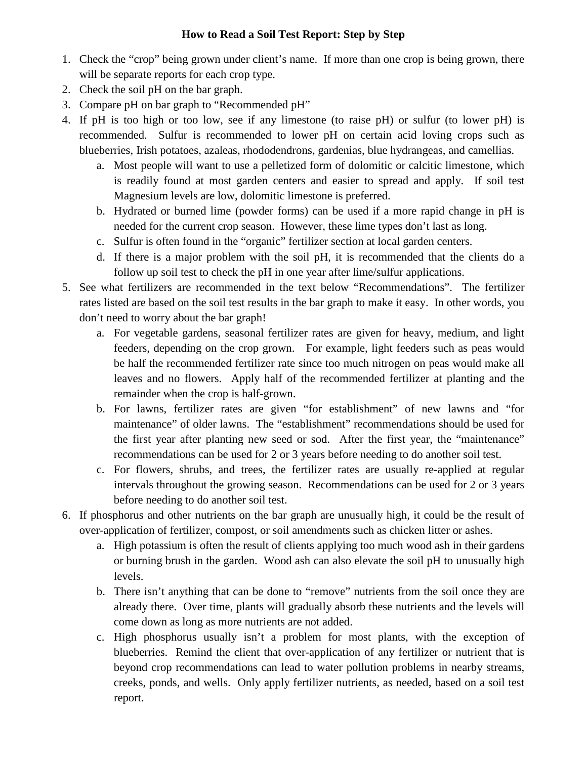# **How to Read a Soil Test Report: Step by Step**

- 1. Check the "crop" being grown under client's name. If more than one crop is being grown, there will be separate reports for each crop type.
- 2. Check the soil pH on the bar graph.
- 3. Compare pH on bar graph to "Recommended pH"
- 4. If pH is too high or too low, see if any limestone (to raise pH) or sulfur (to lower pH) is recommended. Sulfur is recommended to lower pH on certain acid loving crops such as blueberries, Irish potatoes, azaleas, rhododendrons, gardenias, blue hydrangeas, and camellias.
	- a. Most people will want to use a pelletized form of dolomitic or calcitic limestone, which is readily found at most garden centers and easier to spread and apply. If soil test Magnesium levels are low, dolomitic limestone is preferred.
	- b. Hydrated or burned lime (powder forms) can be used if a more rapid change in pH is needed for the current crop season. However, these lime types don't last as long.
	- c. Sulfur is often found in the "organic" fertilizer section at local garden centers.
	- d. If there is a major problem with the soil pH, it is recommended that the clients do a follow up soil test to check the pH in one year after lime/sulfur applications.
- 5. See what fertilizers are recommended in the text below "Recommendations". The fertilizer rates listed are based on the soil test results in the bar graph to make it easy. In other words, you don't need to worry about the bar graph!
	- a. For vegetable gardens, seasonal fertilizer rates are given for heavy, medium, and light feeders, depending on the crop grown. For example, light feeders such as peas would be half the recommended fertilizer rate since too much nitrogen on peas would make all leaves and no flowers. Apply half of the recommended fertilizer at planting and the remainder when the crop is half-grown.
	- b. For lawns, fertilizer rates are given "for establishment" of new lawns and "for maintenance" of older lawns. The "establishment" recommendations should be used for the first year after planting new seed or sod. After the first year, the "maintenance" recommendations can be used for 2 or 3 years before needing to do another soil test.
	- c. For flowers, shrubs, and trees, the fertilizer rates are usually re-applied at regular intervals throughout the growing season. Recommendations can be used for 2 or 3 years before needing to do another soil test.
- 6. If phosphorus and other nutrients on the bar graph are unusually high, it could be the result of over-application of fertilizer, compost, or soil amendments such as chicken litter or ashes.
	- a. High potassium is often the result of clients applying too much wood ash in their gardens or burning brush in the garden. Wood ash can also elevate the soil pH to unusually high levels.
	- b. There isn't anything that can be done to "remove" nutrients from the soil once they are already there. Over time, plants will gradually absorb these nutrients and the levels will come down as long as more nutrients are not added.
	- c. High phosphorus usually isn't a problem for most plants, with the exception of blueberries. Remind the client that over-application of any fertilizer or nutrient that is beyond crop recommendations can lead to water pollution problems in nearby streams, creeks, ponds, and wells. Only apply fertilizer nutrients, as needed, based on a soil test report.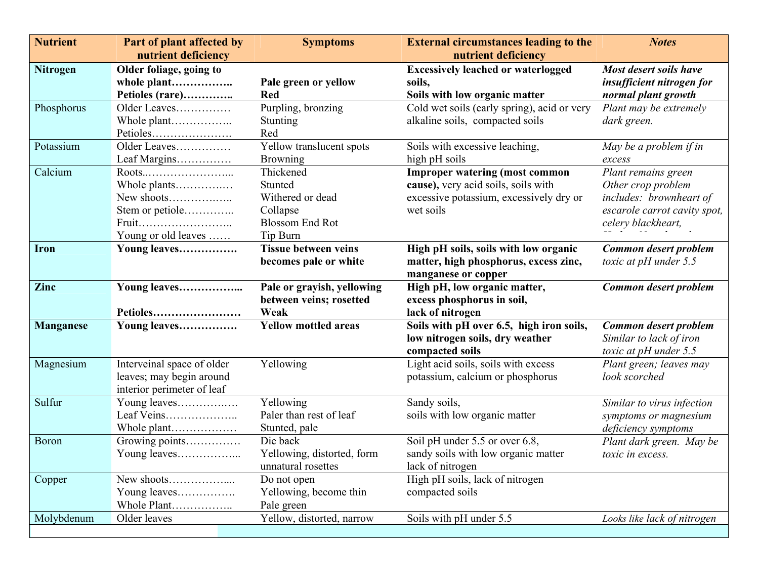| <b>Nutrient</b>  | Part of plant affected by                              | <b>Symptoms</b>                         | <b>External circumstances leading to the</b>           | <b>Notes</b>                 |  |
|------------------|--------------------------------------------------------|-----------------------------------------|--------------------------------------------------------|------------------------------|--|
|                  | nutrient deficiency                                    |                                         | nutrient deficiency                                    |                              |  |
| <b>Nitrogen</b>  | Older foliage, going to                                |                                         | <b>Excessively leached or waterlogged</b>              | Most desert soils have       |  |
|                  | whole plant                                            | Pale green or yellow                    | soils,                                                 | insufficient nitrogen for    |  |
|                  | Petioles (rare)                                        | <b>Red</b>                              | Soils with low organic matter                          | normal plant growth          |  |
| Phosphorus       | Older Leaves                                           | Purpling, bronzing                      | Cold wet soils (early spring), acid or very            | Plant may be extremely       |  |
|                  | Whole plant                                            | Stunting                                | alkaline soils, compacted soils                        | dark green.                  |  |
|                  |                                                        | Red                                     |                                                        |                              |  |
| Potassium        | Older Leaves                                           | Yellow translucent spots                | Soils with excessive leaching,                         | May be a problem if in       |  |
|                  | Leaf Margins                                           | <b>Browning</b>                         | high pH soils                                          | excess                       |  |
| Calcium          |                                                        | Thickened                               | <b>Improper watering (most common</b>                  | Plant remains green          |  |
|                  | Whole plants                                           | Stunted                                 | cause), very acid soils, soils with                    | Other crop problem           |  |
|                  | New shoots                                             | Withered or dead                        | excessive potassium, excessively dry or                | includes: brownheart of      |  |
|                  | Stem or petiole                                        | Collapse                                | wet soils                                              | escarole carrot cavity spot, |  |
|                  | Fruit                                                  | <b>Blossom End Rot</b>                  |                                                        | celery blackheart,           |  |
|                  | Young or old leaves                                    | Tip Burn                                |                                                        |                              |  |
| Iron             | Young leaves                                           | <b>Tissue between veins</b>             | High pH soils, soils with low organic                  | Common desert problem        |  |
|                  |                                                        | becomes pale or white                   | matter, high phosphorus, excess zinc,                  | toxic at $pH$ under 5.5      |  |
|                  |                                                        |                                         | manganese or copper                                    |                              |  |
| Zinc             | Young leaves                                           | Pale or grayish, yellowing              | High pH, low organic matter,                           | Common desert problem        |  |
|                  |                                                        | between veins; rosetted                 | excess phosphorus in soil,                             |                              |  |
|                  | Petioles                                               | Weak                                    | lack of nitrogen                                       |                              |  |
| <b>Manganese</b> | Young leaves                                           | <b>Yellow mottled areas</b>             | Soils with pH over 6.5, high iron soils,               | Common desert problem        |  |
|                  |                                                        |                                         | low nitrogen soils, dry weather                        | Similar to lack of iron      |  |
|                  |                                                        |                                         | compacted soils<br>Light acid soils, soils with excess | toxic at $pH$ under 5.5      |  |
| Magnesium        | Interveinal space of older                             | Yellowing                               |                                                        | Plant green; leaves may      |  |
|                  | leaves; may begin around<br>interior perimeter of leaf |                                         | potassium, calcium or phosphorus                       | look scorched                |  |
| Sulfur           | Young leaves                                           | Yellowing                               | Sandy soils,                                           |                              |  |
|                  | Leaf Veins                                             | Paler than rest of leaf                 | soils with low organic matter                          | Similar to virus infection   |  |
|                  |                                                        |                                         |                                                        | symptoms or magnesium        |  |
| Boron            | Whole plant                                            | Stunted, pale<br>Die back               | Soil pH under 5.5 or over 6.8,                         | deficiency symptoms          |  |
|                  | Growing points                                         |                                         | sandy soils with low organic matter                    | Plant dark green. May be     |  |
|                  | Young leaves                                           | Yellowing, distorted, form              |                                                        | toxic in excess.             |  |
|                  |                                                        | unnatural rosettes                      | lack of nitrogen                                       |                              |  |
| Copper           |                                                        | Do not open                             | High pH soils, lack of nitrogen                        |                              |  |
|                  | Young leaves                                           | Yellowing, become thin                  | compacted soils                                        |                              |  |
|                  | Whole Plant<br>Older leaves                            | Pale green<br>Yellow, distorted, narrow | Soils with pH under 5.5                                | Looks like lack of nitrogen  |  |
| Molybdenum       |                                                        |                                         |                                                        |                              |  |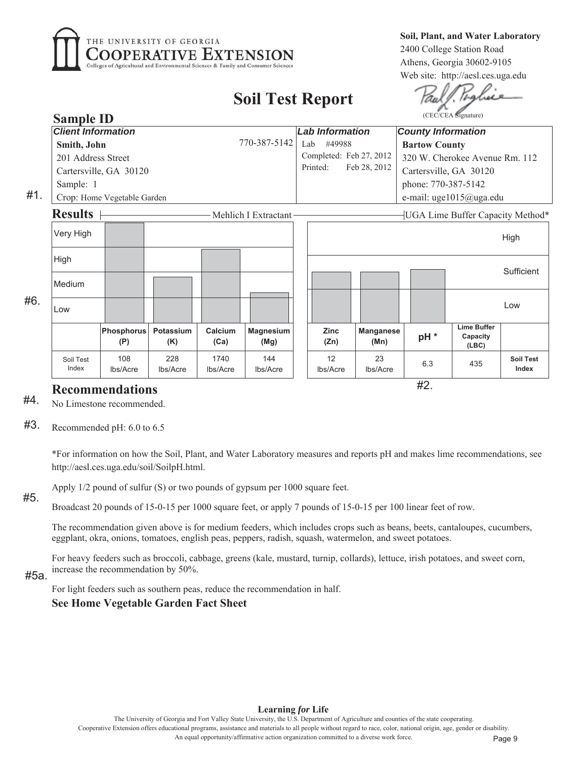

Soil, Plant, and Water Laboratory 2400 College Station Road Athens, Georgia 30602-9105 Web site: http://aesl.ces.uga.edu

# **Soil Test Report**

#2.

| <b>Sample ID</b>          |                             |                        |                  |                          |  |                                                           |                          |  |                           | (CEC/CEA Signature)                     |                           |
|---------------------------|-----------------------------|------------------------|------------------|--------------------------|--|-----------------------------------------------------------|--------------------------|--|---------------------------|-----------------------------------------|---------------------------|
| <b>Client Information</b> |                             |                        |                  |                          |  | <b>Lab Information</b>                                    |                          |  | <b>County Information</b> |                                         |                           |
| Smith, John               | 770-387-5142<br>Lab         | #49988                 |                  |                          |  | <b>Bartow County</b>                                      |                          |  |                           |                                         |                           |
| 201 Address Street        |                             |                        |                  |                          |  | Completed: Feb 27, 2012<br>320 W. Cherokee Avenue Rm. 112 |                          |  |                           |                                         |                           |
|                           | Cartersville, GA 30120      |                        |                  |                          |  | Printed:<br>Feb 28, 2012<br>Cartersville, GA 30120        |                          |  |                           |                                         |                           |
| Sample: 1                 |                             |                        |                  |                          |  | phone: 770-387-5142                                       |                          |  |                           |                                         |                           |
|                           | Crop: Home Vegetable Garden |                        |                  |                          |  | e-mail: uge1015@uga.edu                                   |                          |  |                           |                                         |                           |
| <b>Results</b>            |                             |                        |                  | Mehlich I Extractant     |  |                                                           |                          |  |                           | <b>UGA Lime Buffer Capacity Method</b>  |                           |
| Very High                 |                             |                        |                  |                          |  |                                                           |                          |  |                           |                                         | High                      |
| High                      |                             |                        |                  |                          |  |                                                           |                          |  |                           |                                         | Sufficient                |
| Medium                    |                             |                        |                  |                          |  |                                                           |                          |  |                           |                                         |                           |
| Low                       |                             |                        |                  |                          |  |                                                           |                          |  |                           |                                         | Low                       |
|                           | <b>Phosphorus</b><br>(P)    | Potassium<br>(K)       | Calcium<br>(Ca)  | <b>Magnesium</b><br>(Mg) |  | <b>Zinc</b><br>(Zn)                                       | <b>Manganese</b><br>(Mn) |  | pH <sup>*</sup>           | <b>Lime Buffer</b><br>Capacity<br>(LBC) |                           |
| Soil Test<br>Index        | 108<br>Ibs/Acre             | 228<br><b>lbs/Acre</b> | 1740<br>lbs/Acre | 144<br>lbs/Acre          |  | 12<br>Ibs/Acre                                            | 23<br>lbs/Acre           |  | 6.3                       | 435                                     | <b>Soil Test</b><br>Index |

# **Recommendations**

#4. No Limestone recommended.

#3. Recommended pH: 6.0 to 6.5

> \*For information on how the Soil, Plant, and Water Laboratory measures and reports pH and makes lime recommendations, see http://aesl.ces.uga.edu/soil/SoilpH.html.

Apply 1/2 pound of sulfur (S) or two pounds of gypsum per 1000 square feet.

### $#5$

 $#1.$ 

 $#6.$ 

Broadcast 20 pounds of 15-0-15 per 1000 square feet, or apply 7 pounds of 15-0-15 per 100 linear feet of row.

The recommendation given above is for medium feeders, which includes crops such as beans, beets, cantaloupes, cucumbers, eggplant, okra, onions, tomatoes, english peas, peppers, radish, squash, watermelon, and sweet potatoes.

For heavy feeders such as broccoli, cabbage, greens (kale, mustard, turnip, collards), lettuce, irish potatoes, and sweet corn, increase the recommendation by 50%.

### #5a.

For light feeders such as southern peas, reduce the recommendation in half.

**See Home Vegetable Garden Fact Sheet** 

#### Learning for Life

The University of Georgia and Fort Valley State University, the U.S. Department of Agriculture and counties of the state cooperating Cooperative Extension offers educational programs, assistance and materials to all people without regard to race, color, national origin, age, gender or disability An equal opportunity/affirmative action organization committed to a diverse work force.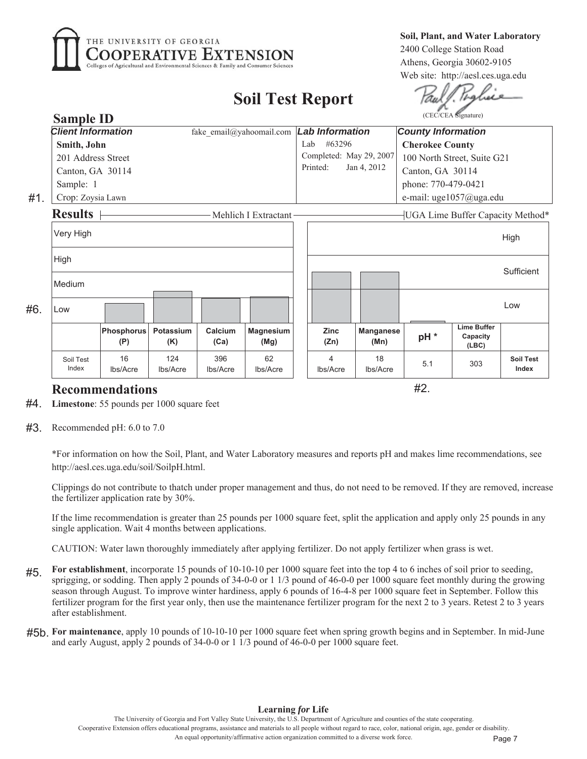

**6** Soil, Plant, and Water Laboratory 2400 College Station Road Athens, Georgia 30602-9105 Web site: http://aesl.ces.uga.edu

# **Soil Test Report**

#2.

|     | <b>Sample ID</b>                                      |                          |                  |                 |                          | (CEC/CEA Signature)                  |                          |                           |                                         |                                  |  |  |  |
|-----|-------------------------------------------------------|--------------------------|------------------|-----------------|--------------------------|--------------------------------------|--------------------------|---------------------------|-----------------------------------------|----------------------------------|--|--|--|
|     | <b>Client Information</b><br>fake email@yahoomail.com |                          |                  |                 |                          |                                      | <b>Lab Information</b>   | <b>County Information</b> |                                         |                                  |  |  |  |
|     | Smith, John                                           |                          |                  |                 |                          |                                      | #63296                   | <b>Cherokee County</b>    |                                         |                                  |  |  |  |
|     | 201 Address Street                                    |                          |                  |                 |                          |                                      | Completed: May 29, 2007  |                           | 100 North Street, Suite G21             |                                  |  |  |  |
|     | Canton, GA 30114                                      |                          |                  |                 |                          | Printed:                             | Jan 4, 2012              | Canton, GA 30114          |                                         |                                  |  |  |  |
|     | Sample: 1                                             |                          |                  |                 |                          |                                      |                          |                           | phone: 770-479-0421                     |                                  |  |  |  |
| #1. | Crop: Zoysia Lawn                                     |                          |                  |                 |                          |                                      |                          | e-mail: uge1057@uga.edu   |                                         |                                  |  |  |  |
|     | <b>Results</b>                                        |                          |                  |                 | Mehlich I Extractant     |                                      |                          |                           |                                         | UGA Lime Buffer Capacity Method* |  |  |  |
|     | Very High                                             |                          |                  |                 |                          |                                      |                          |                           |                                         | High                             |  |  |  |
|     | High                                                  |                          |                  |                 |                          |                                      |                          |                           |                                         | Sufficient                       |  |  |  |
|     | Medium                                                |                          |                  |                 |                          |                                      |                          |                           |                                         |                                  |  |  |  |
| #6. | Low                                                   |                          |                  |                 |                          |                                      |                          |                           |                                         | Low                              |  |  |  |
|     |                                                       | <b>Phosphorus</b><br>(P) | Potassium<br>(K) | Calcium<br>(Ca) | <b>Magnesium</b><br>(Mg) | <b>Zinc</b><br>(Zn)                  | <b>Manganese</b><br>(Mn) | pH <sup>*</sup>           | <b>Lime Buffer</b><br>Capacity<br>(LEC) |                                  |  |  |  |
|     | Soil Test<br>Index                                    | 16<br>Ibs/Acre           | 124<br>lbs/Acre  | 396<br>Ibs/Acre | 62<br>Ibs/Acre           | $\overline{\mathcal{A}}$<br>Ibs/Acre | 18<br>Ibs/Acre           | 5.1                       | 303                                     | <b>Soil Test</b><br>Index        |  |  |  |

## **Recommendations**

**Limestone**: 55 pounds per 1000 square feet #4.

 $#3$ . Recommended pH: 6.0 to 7.0

\*For information on how the Soil, Plant, and Water Laboratory measures and reports pH and makes lime recommendations, see http://aesl.ces.uga.edu/soil/SoilpH.html.

Clippings do not contribute to thatch under proper management and thus, do not need to be removed. If they are removed, increase the fertilizer application rate by  $30\%$ .

If the lime recommendation is greater than 25 pounds per  $1000$  square feet, split the application and apply only 25 pounds in any single application. Wait 4 months between applications.

CAUTION: Water lawn thoroughly immediately after applying fertilizer. Do not apply fertilizer when grass is wet.

- For establishment, incorporate 15 pounds of 10-10-10 per 1000 square feet into the top 4 to 6 inches of soil prior to seeding, sprigging, or sodding. Then apply 2 pounds of  $34-0-0$  or 1 1/3 pound of  $46-0-0$  per 1000 square feet monthly during the growing season through August. To improve winter hardiness, apply 6 pounds of 16-4-8 per 1000 square feet in September. Follow this fertilizer program for the first year only, then use the maintenance fertilizer program for the next 2 to 3 years. Retest 2 to 3 years after establishment. #5.
- #5b. For maintenance, apply 10 pounds of 10-10-10 per 1000 square feet when spring growth begins and in September. In mid-June and early August, apply 2 pounds of  $34-0-0$  or 1  $1/3$  pound of  $46-0-0$  per 1000 square feet.

The University of Georgia and Fort Valley State University, the U.S. Department of Agriculture and counties of the state cooperating Cooperative Extension offers educational programs, assistance and materials to all people without regard to race, color, national origin, age, gender or disability An equal opportunity/affirmative action organization committed to a diverse work force. Page 7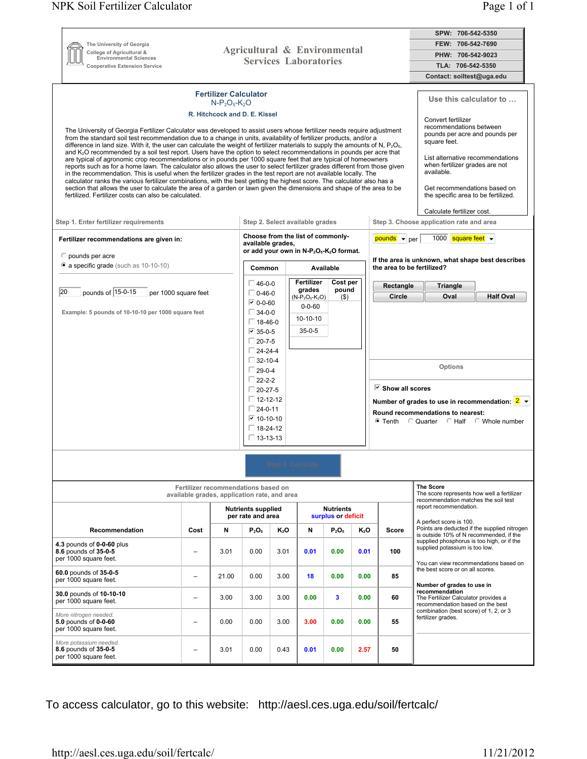|                                                                                               |                                                                                                                                                                                                                                                                                                                                                                                                                                                                                                                                                                                                                                                                                                                                                                                                                                                                                                                                                                                                                                                                                                                                                                                                                                                                               |                                                                                     |                                                                                                     |                          |                                                                            |                                   |                                                                                                                                                                                                                                                                                                                                                                | SPW: 706-542-5350                                                                                                                                                             |                                                                                                                       |  |  |  |
|-----------------------------------------------------------------------------------------------|-------------------------------------------------------------------------------------------------------------------------------------------------------------------------------------------------------------------------------------------------------------------------------------------------------------------------------------------------------------------------------------------------------------------------------------------------------------------------------------------------------------------------------------------------------------------------------------------------------------------------------------------------------------------------------------------------------------------------------------------------------------------------------------------------------------------------------------------------------------------------------------------------------------------------------------------------------------------------------------------------------------------------------------------------------------------------------------------------------------------------------------------------------------------------------------------------------------------------------------------------------------------------------|-------------------------------------------------------------------------------------|-----------------------------------------------------------------------------------------------------|--------------------------|----------------------------------------------------------------------------|-----------------------------------|----------------------------------------------------------------------------------------------------------------------------------------------------------------------------------------------------------------------------------------------------------------------------------------------------------------------------------------------------------------|-------------------------------------------------------------------------------------------------------------------------------------------------------------------------------|-----------------------------------------------------------------------------------------------------------------------|--|--|--|
| The University of Georgia                                                                     |                                                                                                                                                                                                                                                                                                                                                                                                                                                                                                                                                                                                                                                                                                                                                                                                                                                                                                                                                                                                                                                                                                                                                                                                                                                                               |                                                                                     |                                                                                                     |                          |                                                                            |                                   | FEW: 706-542-7690                                                                                                                                                                                                                                                                                                                                              |                                                                                                                                                                               |                                                                                                                       |  |  |  |
| College of Agricultural &<br><b>Environmental Sciences</b>                                    |                                                                                                                                                                                                                                                                                                                                                                                                                                                                                                                                                                                                                                                                                                                                                                                                                                                                                                                                                                                                                                                                                                                                                                                                                                                                               | Agricultural & Environmental                                                        |                                                                                                     |                          |                                                                            |                                   |                                                                                                                                                                                                                                                                                                                                                                |                                                                                                                                                                               | PHW: 706-542-9023                                                                                                     |  |  |  |
| <b>Cooperative Extension Service</b>                                                          |                                                                                                                                                                                                                                                                                                                                                                                                                                                                                                                                                                                                                                                                                                                                                                                                                                                                                                                                                                                                                                                                                                                                                                                                                                                                               |                                                                                     | <b>Services Laboratories</b>                                                                        |                          |                                                                            |                                   |                                                                                                                                                                                                                                                                                                                                                                |                                                                                                                                                                               | TLA: 706-542-5350                                                                                                     |  |  |  |
|                                                                                               |                                                                                                                                                                                                                                                                                                                                                                                                                                                                                                                                                                                                                                                                                                                                                                                                                                                                                                                                                                                                                                                                                                                                                                                                                                                                               |                                                                                     |                                                                                                     |                          |                                                                            |                                   |                                                                                                                                                                                                                                                                                                                                                                |                                                                                                                                                                               | Contact: soiltest@uga.edu                                                                                             |  |  |  |
| fertilized. Fertilizer costs can also be calculated.<br>Step 1. Enter fertilizer requirements | <b>Fertilizer Calculator</b><br>$N-P_2O_5-K_2O$<br>R. Hitchcock and D. E. Kissel<br>The University of Georgia Fertilizer Calculator was developed to assist users whose fertilizer needs require adjustment<br>from the standard soil test recommendation due to a change in units, availability of fertilizer products, and/or a<br>difference in land size. With it, the user can calculate the weight of fertilizer materials to supply the amounts of N, $P_2O_{5}$ ,<br>and K <sub>2</sub> O recommended by a soil test report. Users have the option to select recommendations in pounds per acre that<br>are typical of agronomic crop recommendations or in pounds per 1000 square feet that are typical of homeowners<br>reports such as for a home lawn. The calculator also allows the user to select fertilizer grades different from those given<br>in the recommendation. This is useful when the fertilizer grades in the test report are not available locally. The<br>calculator ranks the various fertilizer combinations, with the best getting the highest score. The calculator also has a<br>section that allows the user to calculate the area of a garden or lawn given the dimensions and shape of the area to be<br>Step 2. Select available grades |                                                                                     |                                                                                                     |                          |                                                                            |                                   | Use this calculator to<br>Convert fertilizer<br>recommendations between<br>pounds per acre and pounds per<br>square feet.<br>List alternative recommendations<br>when fertilizer grades are not<br>available.<br>Get recommendations based on<br>the specific area to be fertilized.<br>Calculate fertilizer cost.<br>Step 3. Choose application rate and area |                                                                                                                                                                               |                                                                                                                       |  |  |  |
| Fertilizer recommendations are given in:                                                      |                                                                                                                                                                                                                                                                                                                                                                                                                                                                                                                                                                                                                                                                                                                                                                                                                                                                                                                                                                                                                                                                                                                                                                                                                                                                               |                                                                                     |                                                                                                     |                          |                                                                            | Choose from the list of commonly- |                                                                                                                                                                                                                                                                                                                                                                | $pounds \cdot perr$                                                                                                                                                           | 1000 square feet $\sim$                                                                                               |  |  |  |
|                                                                                               |                                                                                                                                                                                                                                                                                                                                                                                                                                                                                                                                                                                                                                                                                                                                                                                                                                                                                                                                                                                                                                                                                                                                                                                                                                                                               |                                                                                     | available grades.                                                                                   |                          |                                                                            |                                   |                                                                                                                                                                                                                                                                                                                                                                |                                                                                                                                                                               |                                                                                                                       |  |  |  |
| $\circ$ pounds per acre<br>a specific grade (such as 10-10-10)                                |                                                                                                                                                                                                                                                                                                                                                                                                                                                                                                                                                                                                                                                                                                                                                                                                                                                                                                                                                                                                                                                                                                                                                                                                                                                                               |                                                                                     | or add your own in N-P <sub>2</sub> O <sub>5</sub> -K <sub>2</sub> O format.<br>Common<br>Available |                          |                                                                            |                                   |                                                                                                                                                                                                                                                                                                                                                                | If the area is unknown, what shape best describes<br>the area to be fertilized?                                                                                               |                                                                                                                       |  |  |  |
|                                                                                               |                                                                                                                                                                                                                                                                                                                                                                                                                                                                                                                                                                                                                                                                                                                                                                                                                                                                                                                                                                                                                                                                                                                                                                                                                                                                               |                                                                                     | $\Box$ 46-0-0                                                                                       |                          | Fertilizer                                                                 | Cost per                          |                                                                                                                                                                                                                                                                                                                                                                | Rectangle                                                                                                                                                                     | <b>Triangle</b>                                                                                                       |  |  |  |
| pounds of 15-0-15<br>20<br>per 1000 square feet                                               |                                                                                                                                                                                                                                                                                                                                                                                                                                                                                                                                                                                                                                                                                                                                                                                                                                                                                                                                                                                                                                                                                                                                                                                                                                                                               |                                                                                     | $\Box$ 0-46-0                                                                                       |                          | pound<br>grades<br>$(N-P_2O_5-K_2O)$<br>$($ \$<br>$0 - 0 - 60$<br>10-10-10 |                                   |                                                                                                                                                                                                                                                                                                                                                                | Circle                                                                                                                                                                        | Oval<br><b>Half Oval</b>                                                                                              |  |  |  |
|                                                                                               |                                                                                                                                                                                                                                                                                                                                                                                                                                                                                                                                                                                                                                                                                                                                                                                                                                                                                                                                                                                                                                                                                                                                                                                                                                                                               |                                                                                     | $\triangledown$ 0-0-60                                                                              |                          |                                                                            |                                   |                                                                                                                                                                                                                                                                                                                                                                |                                                                                                                                                                               |                                                                                                                       |  |  |  |
| Example: 5 pounds of 10-10-10 per 1000 square feet                                            |                                                                                                                                                                                                                                                                                                                                                                                                                                                                                                                                                                                                                                                                                                                                                                                                                                                                                                                                                                                                                                                                                                                                                                                                                                                                               |                                                                                     | $\Box$ 34-0-0                                                                                       |                          |                                                                            |                                   |                                                                                                                                                                                                                                                                                                                                                                |                                                                                                                                                                               |                                                                                                                       |  |  |  |
|                                                                                               |                                                                                                                                                                                                                                                                                                                                                                                                                                                                                                                                                                                                                                                                                                                                                                                                                                                                                                                                                                                                                                                                                                                                                                                                                                                                               |                                                                                     | $\Box$ 18-46-0<br>$35 - 0 - 5$<br>$\boxed{v}$ 35-0-5                                                |                          |                                                                            |                                   |                                                                                                                                                                                                                                                                                                                                                                |                                                                                                                                                                               |                                                                                                                       |  |  |  |
|                                                                                               |                                                                                                                                                                                                                                                                                                                                                                                                                                                                                                                                                                                                                                                                                                                                                                                                                                                                                                                                                                                                                                                                                                                                                                                                                                                                               |                                                                                     | $\Box$ 20-7-5                                                                                       |                          |                                                                            |                                   |                                                                                                                                                                                                                                                                                                                                                                |                                                                                                                                                                               |                                                                                                                       |  |  |  |
|                                                                                               |                                                                                                                                                                                                                                                                                                                                                                                                                                                                                                                                                                                                                                                                                                                                                                                                                                                                                                                                                                                                                                                                                                                                                                                                                                                                               |                                                                                     | $\Box$ 24-24-4                                                                                      |                          |                                                                            |                                   |                                                                                                                                                                                                                                                                                                                                                                |                                                                                                                                                                               |                                                                                                                       |  |  |  |
|                                                                                               |                                                                                                                                                                                                                                                                                                                                                                                                                                                                                                                                                                                                                                                                                                                                                                                                                                                                                                                                                                                                                                                                                                                                                                                                                                                                               |                                                                                     | $\Box$ 32-10-4                                                                                      |                          |                                                                            |                                   |                                                                                                                                                                                                                                                                                                                                                                | Options                                                                                                                                                                       |                                                                                                                       |  |  |  |
|                                                                                               |                                                                                                                                                                                                                                                                                                                                                                                                                                                                                                                                                                                                                                                                                                                                                                                                                                                                                                                                                                                                                                                                                                                                                                                                                                                                               |                                                                                     | $\Box$ 29-0-4<br>$\Box$ 22-2-2                                                                      |                          |                                                                            |                                   |                                                                                                                                                                                                                                                                                                                                                                |                                                                                                                                                                               |                                                                                                                       |  |  |  |
|                                                                                               |                                                                                                                                                                                                                                                                                                                                                                                                                                                                                                                                                                                                                                                                                                                                                                                                                                                                                                                                                                                                                                                                                                                                                                                                                                                                               |                                                                                     | $\Box$ 20-27-5                                                                                      |                          |                                                                            |                                   |                                                                                                                                                                                                                                                                                                                                                                | $\triangledown$ Show all scores<br>Number of grades to use in recommendation: $2 \rightarrow$<br>Round recommendations to nearest:<br>■ Tenth C Quarter C Half C Whole number |                                                                                                                       |  |  |  |
|                                                                                               |                                                                                                                                                                                                                                                                                                                                                                                                                                                                                                                                                                                                                                                                                                                                                                                                                                                                                                                                                                                                                                                                                                                                                                                                                                                                               |                                                                                     | $\Box$ 12-12-12                                                                                     |                          |                                                                            |                                   |                                                                                                                                                                                                                                                                                                                                                                |                                                                                                                                                                               |                                                                                                                       |  |  |  |
|                                                                                               |                                                                                                                                                                                                                                                                                                                                                                                                                                                                                                                                                                                                                                                                                                                                                                                                                                                                                                                                                                                                                                                                                                                                                                                                                                                                               |                                                                                     | $\Box$ 24-0-11                                                                                      |                          |                                                                            |                                   |                                                                                                                                                                                                                                                                                                                                                                |                                                                                                                                                                               |                                                                                                                       |  |  |  |
|                                                                                               |                                                                                                                                                                                                                                                                                                                                                                                                                                                                                                                                                                                                                                                                                                                                                                                                                                                                                                                                                                                                                                                                                                                                                                                                                                                                               |                                                                                     | ☑ 10-10-10                                                                                          |                          |                                                                            |                                   |                                                                                                                                                                                                                                                                                                                                                                |                                                                                                                                                                               |                                                                                                                       |  |  |  |
|                                                                                               |                                                                                                                                                                                                                                                                                                                                                                                                                                                                                                                                                                                                                                                                                                                                                                                                                                                                                                                                                                                                                                                                                                                                                                                                                                                                               |                                                                                     | $\Box$ 18-24-12                                                                                     |                          |                                                                            |                                   |                                                                                                                                                                                                                                                                                                                                                                |                                                                                                                                                                               |                                                                                                                       |  |  |  |
|                                                                                               |                                                                                                                                                                                                                                                                                                                                                                                                                                                                                                                                                                                                                                                                                                                                                                                                                                                                                                                                                                                                                                                                                                                                                                                                                                                                               |                                                                                     | $\square$ 13-13-13                                                                                  |                          |                                                                            |                                   |                                                                                                                                                                                                                                                                                                                                                                |                                                                                                                                                                               |                                                                                                                       |  |  |  |
|                                                                                               |                                                                                                                                                                                                                                                                                                                                                                                                                                                                                                                                                                                                                                                                                                                                                                                                                                                                                                                                                                                                                                                                                                                                                                                                                                                                               |                                                                                     |                                                                                                     |                          |                                                                            |                                   |                                                                                                                                                                                                                                                                                                                                                                |                                                                                                                                                                               |                                                                                                                       |  |  |  |
|                                                                                               |                                                                                                                                                                                                                                                                                                                                                                                                                                                                                                                                                                                                                                                                                                                                                                                                                                                                                                                                                                                                                                                                                                                                                                                                                                                                               |                                                                                     |                                                                                                     | <b>Step 4. Calculate</b> |                                                                            |                                   |                                                                                                                                                                                                                                                                                                                                                                |                                                                                                                                                                               |                                                                                                                       |  |  |  |
|                                                                                               |                                                                                                                                                                                                                                                                                                                                                                                                                                                                                                                                                                                                                                                                                                                                                                                                                                                                                                                                                                                                                                                                                                                                                                                                                                                                               |                                                                                     |                                                                                                     |                          |                                                                            |                                   |                                                                                                                                                                                                                                                                                                                                                                |                                                                                                                                                                               |                                                                                                                       |  |  |  |
|                                                                                               |                                                                                                                                                                                                                                                                                                                                                                                                                                                                                                                                                                                                                                                                                                                                                                                                                                                                                                                                                                                                                                                                                                                                                                                                                                                                               | Fertilizer recommendations based on<br>available grades, application rate, and area |                                                                                                     |                          |                                                                            |                                   |                                                                                                                                                                                                                                                                                                                                                                |                                                                                                                                                                               | <b>The Score</b><br>The score represents how well a fertilizer<br>recommendation matches the soil test                |  |  |  |
|                                                                                               |                                                                                                                                                                                                                                                                                                                                                                                                                                                                                                                                                                                                                                                                                                                                                                                                                                                                                                                                                                                                                                                                                                                                                                                                                                                                               |                                                                                     | <b>Nutrients supplied</b><br><b>Nutrients</b><br>per rate and area<br>surplus or deficit            |                          |                                                                            |                                   |                                                                                                                                                                                                                                                                                                                                                                |                                                                                                                                                                               | report recommendation.<br>A perfect score is 100.                                                                     |  |  |  |
| Recommendation                                                                                | Cost                                                                                                                                                                                                                                                                                                                                                                                                                                                                                                                                                                                                                                                                                                                                                                                                                                                                                                                                                                                                                                                                                                                                                                                                                                                                          | N                                                                                   | $P_2O_5$                                                                                            | $K_2O$                   | N                                                                          | $P_2O_5$                          | K2O                                                                                                                                                                                                                                                                                                                                                            | Score                                                                                                                                                                         | Points are deducted if the supplied nitrogen<br>is outside 10% of N recommended, if the                               |  |  |  |
| 4.3 pounds of 0-0-60 plus<br>8.6 pounds of 35-0-5<br>per 1000 square feet.                    | $\qquad \qquad -$                                                                                                                                                                                                                                                                                                                                                                                                                                                                                                                                                                                                                                                                                                                                                                                                                                                                                                                                                                                                                                                                                                                                                                                                                                                             | 3.01                                                                                | 0.00                                                                                                | 3.01                     | 0.01                                                                       | 0.00                              | 0.01                                                                                                                                                                                                                                                                                                                                                           | 100                                                                                                                                                                           | supplied phosphorus is too high, or if the<br>supplied potassium is too low.<br>You can view recommendations based on |  |  |  |
| 60.0 pounds of 35-0-5<br>per 1000 square feet.                                                | $\overline{\phantom{0}}$                                                                                                                                                                                                                                                                                                                                                                                                                                                                                                                                                                                                                                                                                                                                                                                                                                                                                                                                                                                                                                                                                                                                                                                                                                                      | 21.00                                                                               | 0.00                                                                                                | 3.00                     | 18                                                                         | 0.00                              | 0.00                                                                                                                                                                                                                                                                                                                                                           | 85                                                                                                                                                                            | the best score or on all scores.<br>Number of grades to use in                                                        |  |  |  |
| 30.0 pounds of 10-10-10<br>per 1000 square feet.                                              | $\overline{\phantom{0}}$                                                                                                                                                                                                                                                                                                                                                                                                                                                                                                                                                                                                                                                                                                                                                                                                                                                                                                                                                                                                                                                                                                                                                                                                                                                      | 3.00                                                                                | 3.00                                                                                                | 3.00                     | 0.00                                                                       | $\mathbf{3}$                      | 0.00                                                                                                                                                                                                                                                                                                                                                           | 60                                                                                                                                                                            | recommendation<br>The Fertilizer Calculator provides a<br>recommendation based on the best                            |  |  |  |
| More nitrogen needed.<br>5.0 pounds of 0-0-60<br>per 1000 square feet.                        | $\overline{\phantom{0}}$                                                                                                                                                                                                                                                                                                                                                                                                                                                                                                                                                                                                                                                                                                                                                                                                                                                                                                                                                                                                                                                                                                                                                                                                                                                      | 0.00                                                                                | 0.00                                                                                                | 3.00                     | 3.00                                                                       | 0.00                              | 0.00                                                                                                                                                                                                                                                                                                                                                           | 55                                                                                                                                                                            | combination (best score) of 1, 2, or 3<br>fertilizer grades.                                                          |  |  |  |
| More potassium needed.<br>8.6 pounds of 35-0-5<br>per 1000 square feet.                       |                                                                                                                                                                                                                                                                                                                                                                                                                                                                                                                                                                                                                                                                                                                                                                                                                                                                                                                                                                                                                                                                                                                                                                                                                                                                               | 3.01                                                                                | 0.00                                                                                                | 0.43                     | 0.01                                                                       | 0.00                              | 2.57                                                                                                                                                                                                                                                                                                                                                           | 50                                                                                                                                                                            |                                                                                                                       |  |  |  |

To access calculator, go to this website: http://aesl.ces.uga.edu/soil/fertcalc/